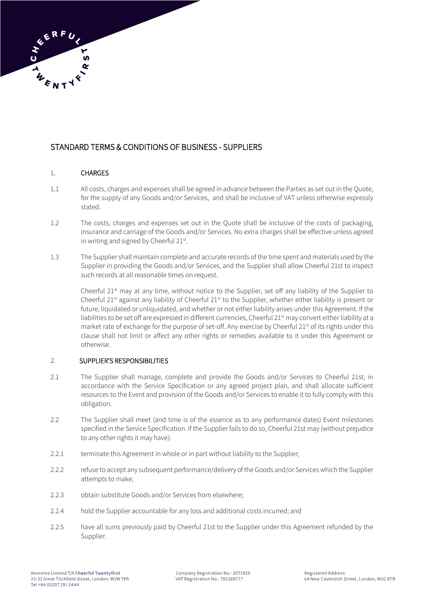# STANDARD TERMS & CONDITIONS OF BUSINESS - SUPPLIERS

# 1. CHARGES

- 1.1 All costs, charges and expenses shall be agreed in advance between the Parties as set out in the Quote, for the supply of any Goods and/or Services, and shall be inclusive of VAT unless otherwise expressly stated.
- 1.2 The costs, charges and expenses set out in the Quote shall be inclusive of the costs of packaging, insurance and carriage of the Goods and/or Services. No extra charges shall be effective unless agreed in writing and signed by Cheerful 21<sup>st</sup>.
- 1.3 The Supplier shall maintain complete and accurate records of the time spent and materials used by the Supplier in providing the Goods and/or Services, and the Supplier shall allow Cheerful 21st to inspect such records at all reasonable times on request.

Cheerful 21<sup>st</sup> may at any time, without notice to the Supplier, set off any liability of the Supplier to Cheerful  $21<sup>st</sup>$  against any liability of Cheerful  $21<sup>st</sup>$  to the Supplier, whether either liability is present or future, liquidated or unliquidated, and whether or not either liability arises under this Agreement. If the liabilities to be set off are expressed in different currencies, Cheerful 21<sup>st</sup> may convert either liability at a market rate of exchange for the purpose of set-off. Any exercise by Cheerful 21<sup>st</sup> of its rights under this clause shall not limit or affect any other rights or remedies available to it under this Agreement or otherwise.

# 2. SUPPLIER'S RESPONSIBILITIES

- 2.1 The Supplier shall manage, complete and provide the Goods and/or Services to Cheerful 21st, in accordance with the Service Specification or any agreed project plan, and shall allocate sufficient resources to the Event and provision of the Goods and/or Services to enable it to fully comply with this obligation.
- 2.2 The Supplier shall meet (and time is of the essence as to any performance dates) Event milestones specified in the Service Specification. If the Supplier fails to do so, Cheerful 21st may (without prejudice to any other rights it may have):
- 2.2.1 terminate this Agreement in whole or in part without liability to the Supplier;
- 2.2.2 refuse to accept any subsequent performance/delivery of the Goods and/or Services which the Supplier attempts to make;
- 2.2.3 obtain substitute Goods and/or Services from elsewhere;
- 2.2.4 hold the Supplier accountable for any loss and additional costs incurred; and
- 2.2.5 have all sums previously paid by Cheerful 21st to the Supplier under this Agreement refunded by the Supplier.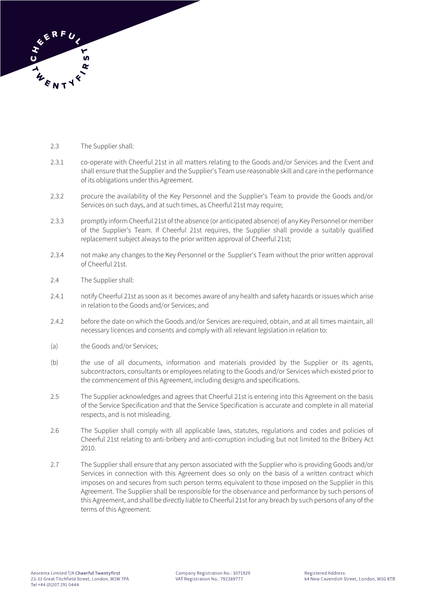

- 2.3 The Supplier shall:
- 2.3.1 co-operate with Cheerful 21st in all matters relating to the Goods and/or Services and the Event and shall ensure that the Supplier and the Supplier's Team use reasonable skill and care in the performance of its obligations under this Agreement.
- 2.3.2 procure the availability of the Key Personnel and the Supplier's Team to provide the Goods and/or Services on such days, and at such times, as Cheerful 21st may require;
- 2.3.3 promptly inform Cheerful 21st of the absence (or anticipated absence) of any Key Personnel or member of the Supplier's Team. If Cheerful 21st requires, the Supplier shall provide a suitably qualified replacement subject always to the prior written approval of Cheerful 21st;
- 2.3.4 not make any changes to the Key Personnel or the Supplier's Team without the prior written approval of Cheerful 21st.
- 2.4 The Supplier shall:
- 2.4.1 notify Cheerful 21st as soon as it becomes aware of any health and safety hazards or issues which arise in relation to the Goods and/or Services; and
- 2.4.2 before the date on which the Goods and/or Services are required, obtain, and at all times maintain, all necessary licences and consents and comply with all relevant legislation in relation to:
- (a) the Goods and/or Services;
- (b) the use of all documents, information and materials provided by the Supplier or its agents, subcontractors, consultants or employees relating to the Goods and/or Services which existed prior to the commencement of this Agreement, including designs and specifications.
- 2.5 The Supplier acknowledges and agrees that Cheerful 21st is entering into this Agreement on the basis of the Service Specification and that the Service Specification is accurate and complete in all material respects, and is not misleading.
- 2.6 The Supplier shall comply with all applicable laws, statutes, regulations and codes and policies of Cheerful 21st relating to anti-bribery and anti-corruption including but not limited to the Bribery Act 2010.
- 2.7 The Supplier shall ensure that any person associated with the Supplier who is providing Goods and/or Services in connection with this Agreement does so only on the basis of a written contract which imposes on and secures from such person terms equivalent to those imposed on the Supplier in this Agreement. The Supplier shall be responsible for the observance and performance by such persons of this Agreement, and shall be directly liable to Cheerful 21st for any breach by such persons of any of the terms of this Agreement.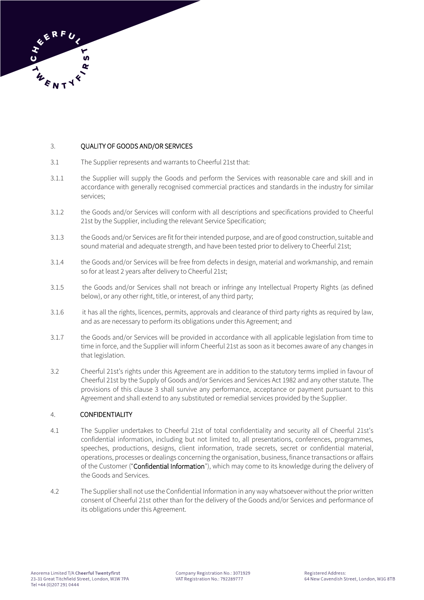

#### 3. QUALITY OF GOODS AND/OR SERVICES

- 3.1 The Supplier represents and warrants to Cheerful 21st that:
- 3.1.1 the Supplier will supply the Goods and perform the Services with reasonable care and skill and in accordance with generally recognised commercial practices and standards in the industry for similar services;
- 3.1.2 the Goods and/or Services will conform with all descriptions and specifications provided to Cheerful 21st by the Supplier, including the relevant Service Specification;
- 3.1.3 the Goods and/or Services are fit for their intended purpose, and are of good construction, suitable and sound material and adequate strength, and have been tested prior to delivery to Cheerful 21st;
- 3.1.4 the Goods and/or Services will be free from defects in design, material and workmanship, and remain so for at least 2 years after delivery to Cheerful 21st;
- 3.1.5 the Goods and/or Services shall not breach or infringe any Intellectual Property Rights (as defined below), or any other right, title, or interest, of any third party;
- 3.1.6 it has all the rights, licences, permits, approvals and clearance of third party rights as required by law, and as are necessary to perform its obligations under this Agreement; and
- 3.1.7 the Goods and/or Services will be provided in accordance with all applicable legislation from time to time in force, and the Supplier will inform Cheerful 21st as soon as it becomes aware of any changes in that legislation.
- 3.2 Cheerful 21st's rights under this Agreement are in addition to the statutory terms implied in favour of Cheerful 21st by the Supply of Goods and/or Services and Services Act 1982 and any other statute. The provisions of this clause 3 shall survive any performance, acceptance or payment pursuant to this Agreement and shall extend to any substituted or remedial services provided by the Supplier.

### 4. CONFIDENTIALITY

- 4.1 The Supplier undertakes to Cheerful 21st of total confidentiality and security all of Cheerful 21st's confidential information, including but not limited to, all presentations, conferences, programmes, speeches, productions, designs, client information, trade secrets, secret or confidential material, operations, processes or dealings concerning the organisation, business, finance transactions or affairs of the Customer ("Confidential Information"), which may come to its knowledge during the delivery of the Goods and Services.
- 4.2 The Supplier shall not use the Confidential Information in any way whatsoever without the prior written consent of Cheerful 21st other than for the delivery of the Goods and/or Services and performance of its obligations under this Agreement.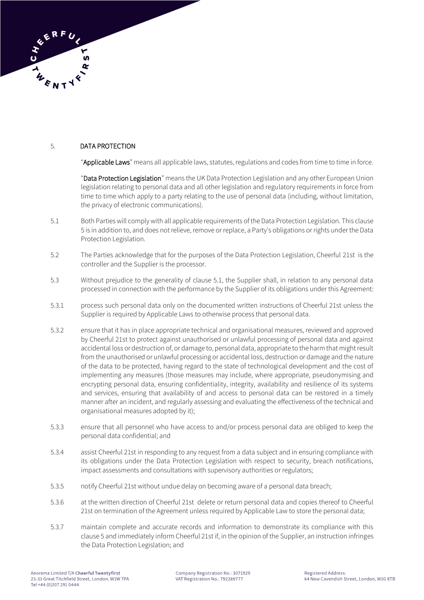

# 5. DATA PROTECTION

"Applicable Laws" means all applicable laws, statutes, regulations and codes from time to time in force.

"Data Protection Legislation" means the UK Data Protection Legislation and any other European Union legislation relating to personal data and all other legislation and regulatory requirements in force from time to time which apply to a party relating to the use of personal data (including, without limitation, the privacy of electronic communications).

- 5.1 Both Parties will comply with all applicable requirements of the Data Protection Legislation. This clause 5 is in addition to, and does not relieve, remove or replace, a Party's obligations or rights under the Data Protection Legislation.
- 5.2 The Parties acknowledge that for the purposes of the Data Protection Legislation, Cheerful 21st is the controller and the Supplier is the processor.
- 5.3 Without prejudice to the generality of clause 5.1, the Supplier shall, in relation to any personal data processed in connection with the performance by the Supplier of its obligations under this Agreement:
- 5.3.1 process such personal data only on the documented written instructions of Cheerful 21st unless the Supplier is required by Applicable Laws to otherwise process that personal data.
- 5.3.2 ensure that it has in place appropriate technical and organisational measures, reviewed and approved by Cheerful 21st to protect against unauthorised or unlawful processing of personal data and against accidental loss or destruction of, or damage to, personal data, appropriate to the harm that might result from the unauthorised or unlawful processing or accidental loss, destruction or damage and the nature of the data to be protected, having regard to the state of technological development and the cost of implementing any measures (those measures may include, where appropriate, pseudonymising and encrypting personal data, ensuring confidentiality, integrity, availability and resilience of its systems and services, ensuring that availability of and access to personal data can be restored in a timely manner after an incident, and regularly assessing and evaluating the effectiveness of the technical and organisational measures adopted by it);
- 5.3.3 ensure that all personnel who have access to and/or process personal data are obliged to keep the personal data confidential; and
- 5.3.4 assist Cheerful 21st in responding to any request from a data subject and in ensuring compliance with its obligations under the Data Protection Legislation with respect to security, breach notifications, impact assessments and consultations with supervisory authorities or regulators;
- 5.3.5 notify Cheerful 21st without undue delay on becoming aware of a personal data breach;
- 5.3.6 at the written direction of Cheerful 21st delete or return personal data and copies thereof to Cheerful 21st on termination of the Agreement unless required by Applicable Law to store the personal data;
- 5.3.7 maintain complete and accurate records and information to demonstrate its compliance with this clause 5 and immediately inform Cheerful 21st if, in the opinion of the Supplier, an instruction infringes the Data Protection Legislation; and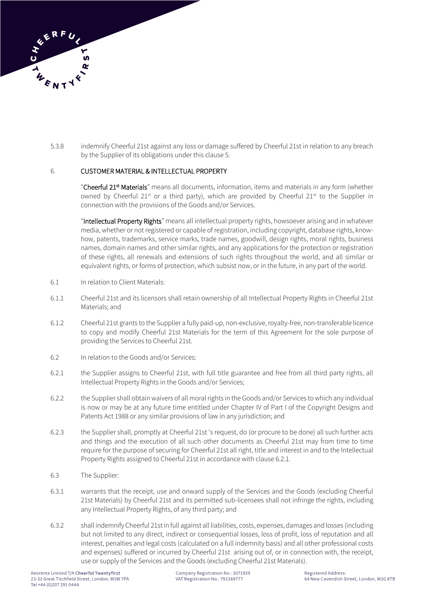

5.3.8 indemnify Cheerful 21st against any loss or damage suffered by Cheerful 21st in relation to any breach by the Supplier of its obligations under this clause 5.

### 6. CUSTOMER MATERIAL & INTELLECTUAL PROPERTY

"**Cheerful 21<sup>st</sup> Materials**" means all documents, information, items and materials in any form (whether owned by Cheerful 21st or a third party), which are provided by Cheerful 21st to the Supplier in connection with the provisions of the Goods and/or Services.

"Intellectual Property Rights" means all intellectual property rights, howsoever arising and in whatever media, whether or not registered or capable of registration, including copyright, database rights, knowhow, patents, trademarks, service marks, trade names, goodwill, design rights, moral rights, business names, domain names and other similar rights, and any applications for the protection or registration of these rights, all renewals and extensions of such rights throughout the world, and all similar or equivalent rights, or forms of protection, which subsist now, or in the future, in any part of the world.

- 6.1 In relation to Client Materials:
- 6.1.1 Cheerful 21st and its licensors shall retain ownership of all Intellectual Property Rights in Cheerful 21st Materials; and
- 6.1.2 Cheerful 21st grants to the Supplier a fully paid-up, non-exclusive, royalty-free, non-transferable licence to copy and modify Cheerful 21st Materials for the term of this Agreement for the sole purpose of providing the Services to Cheerful 21st.
- 6.2 In relation to the Goods and/or Services:
- 6.2.1 the Supplier assigns to Cheerful 21st, with full title guarantee and free from all third party rights, all Intellectual Property Rights in the Goods and/or Services;
- 6.2.2 the Supplier shall obtain waivers of all moral rights in the Goods and/or Services to which any individual is now or may be at any future time entitled under Chapter IV of Part I of the Copyright Designs and Patents Act 1988 or any similar provisions of law in any jurisdiction; and
- 6.2.3 the Supplier shall, promptly at Cheerful 21st 's request, do (or procure to be done) all such further acts and things and the execution of all such other documents as Cheerful 21st may from time to time require for the purpose of securing for Cheerful 21st all right, title and interest in and to the Intellectual Property Rights assigned to Cheerful 21st in accordance with clause 6.2.1.
- 6.3 The Supplier:
- 6.3.1 warrants that the receipt, use and onward supply of the Services and the Goods (excluding Cheerful 21st Materials) by Cheerful 21st and its permitted sub-licensees shall not infringe the rights, including any Intellectual Property Rights, of any third party; and
- 6.3.2 shall indemnify Cheerful 21st in full against all liabilities, costs, expenses, damages and losses (including but not limited to any direct, indirect or consequential losses, loss of profit, loss of reputation and all interest, penalties and legal costs (calculated on a full indemnity basis) and all other professional costs and expenses) suffered or incurred by Cheerful 21st arising out of, or in connection with, the receipt, use or supply of the Services and the Goods (excluding Cheerful 21st Materials).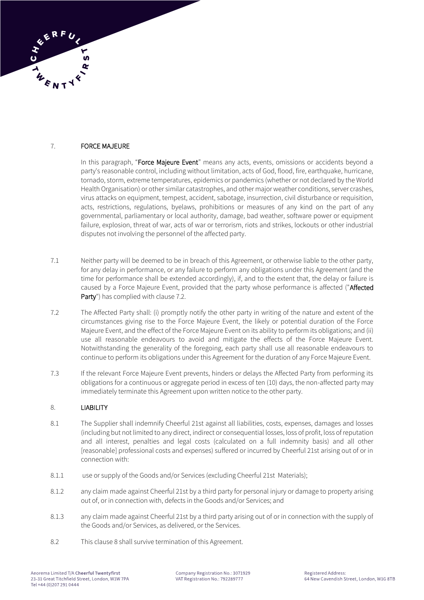# 7. FORCE MAJEURE

In this paragraph, "Force Majeure Event" means any acts, events, omissions or accidents beyond a party's reasonable control, including without limitation, acts of God, flood, fire, earthquake, hurricane, tornado, storm, extreme temperatures, epidemics or pandemics (whether or not declared by the World Health Organisation) or other similar catastrophes, and other major weather conditions, server crashes, virus attacks on equipment, tempest, accident, sabotage, insurrection, civil disturbance or requisition, acts, restrictions, regulations, byelaws, prohibitions or measures of any kind on the part of any governmental, parliamentary or local authority, damage, bad weather, software power or equipment failure, explosion, threat of war, acts of war or terrorism, riots and strikes, lockouts or other industrial disputes not involving the personnel of the affected party.

- 7.1 Neither party will be deemed to be in breach of this Agreement, or otherwise liable to the other party, for any delay in performance, or any failure to perform any obligations under this Agreement (and the time for performance shall be extended accordingly), if, and to the extent that, the delay or failure is caused by a Force Majeure Event, provided that the party whose performance is affected ("Affected Party") has complied with clause 7.2.
- 7.2 The Affected Party shall: (i) promptly notify the other party in writing of the nature and extent of the circumstances giving rise to the Force Majeure Event, the likely or potential duration of the Force Majeure Event, and the effect of the Force Majeure Event on its ability to perform its obligations; and (ii) use all reasonable endeavours to avoid and mitigate the effects of the Force Majeure Event. Notwithstanding the generality of the foregoing, each party shall use all reasonable endeavours to continue to perform its obligations under this Agreement for the duration of any Force Majeure Event.
- 7.3 If the relevant Force Majeure Event prevents, hinders or delays the Affected Party from performing its obligations for a continuous or aggregate period in excess of ten (10) days, the non-affected party may immediately terminate this Agreement upon written notice to the other party.

### 8. LIABILITY

- 8.1 The Supplier shall indemnify Cheerful 21st against all liabilities, costs, expenses, damages and losses (including but not limited to any direct, indirect or consequential losses, loss of profit, loss of reputation and all interest, penalties and legal costs (calculated on a full indemnity basis) and all other [reasonable] professional costs and expenses) suffered or incurred by Cheerful 21st arising out of or in connection with:
- 8.1.1 use or supply of the Goods and/or Services (excluding Cheerful 21st Materials);
- 8.1.2 any claim made against Cheerful 21st by a third party for personal injury or damage to property arising out of, or in connection with, defects in the Goods and/or Services; and
- 8.1.3 any claim made against Cheerful 21st by a third party arising out of or in connection with the supply of the Goods and/or Services, as delivered, or the Services.
- 8.2 This clause 8 shall survive termination of this Agreement.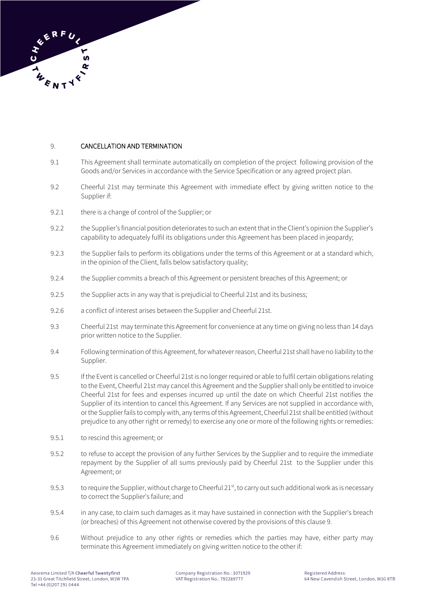

### 9. CANCELLATION AND TERMINATION

- 9.1 This Agreement shall terminate automatically on completion of the project following provision of the Goods and/or Services in accordance with the Service Specification or any agreed project plan.
- 9.2 Cheerful 21st may terminate this Agreement with immediate effect by giving written notice to the Supplier if:
- 9.2.1 there is a change of control of the Supplier; or
- 9.2.2 the Supplier's financial position deteriorates to such an extent that in the Client's opinion the Supplier's capability to adequately fulfil its obligations under this Agreement has been placed in jeopardy;
- 9.2.3 the Supplier fails to perform its obligations under the terms of this Agreement or at a standard which, in the opinion of the Client, falls below satisfactory quality;
- 9.2.4 the Supplier commits a breach of this Agreement or persistent breaches of this Agreement; or
- 9.2.5 the Supplier acts in any way that is prejudicial to Cheerful 21st and its business;
- 9.2.6 a conflict of interest arises between the Supplier and Cheerful 21st.
- 9.3 Cheerful 21st may terminate this Agreement for convenience at any time on giving no less than 14 days prior written notice to the Supplier.
- 9.4 Following termination of this Agreement, for whatever reason, Cheerful 21st shall have no liability to the Supplier.
- 9.5 If the Event is cancelled or Cheerful 21st is no longer required or able to fulfil certain obligations relating to the Event, Cheerful 21st may cancel this Agreement and the Supplier shall only be entitled to invoice Cheerful 21st for fees and expenses incurred up until the date on which Cheerful 21st notifies the Supplier of its intention to cancel this Agreement. If any Services are not supplied in accordance with, or the Supplier fails to comply with, any terms of this Agreement, Cheerful 21st shall be entitled (without prejudice to any other right or remedy) to exercise any one or more of the following rights or remedies:
- 9.5.1 to rescind this agreement; or
- 9.5.2 to refuse to accept the provision of any further Services by the Supplier and to require the immediate repayment by the Supplier of all sums previously paid by Cheerful 21st to the Supplier under this Agreement; or
- 9.5.3 to require the Supplier, without charge to Cheerful  $21<sup>st</sup>$ , to carry out such additional work as is necessary to correct the Supplier's failure; and
- 9.5.4 in any case, to claim such damages as it may have sustained in connection with the Supplier's breach (or breaches) of this Agreement not otherwise covered by the provisions of this clause 9.
- 9.6 Without prejudice to any other rights or remedies which the parties may have, either party may terminate this Agreement immediately on giving written notice to the other if: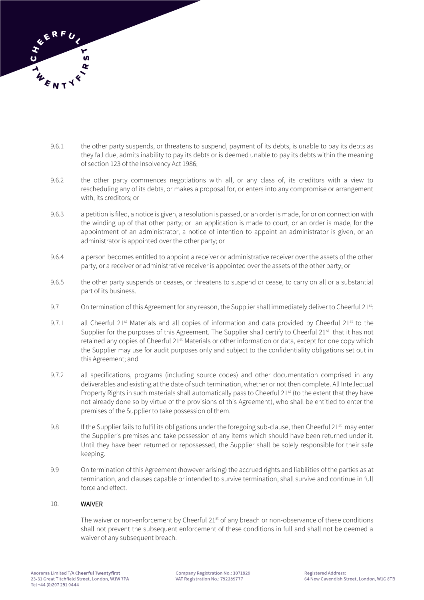

- 9.6.1 the other party suspends, or threatens to suspend, payment of its debts, is unable to pay its debts as they fall due, admits inability to pay its debts or is deemed unable to pay its debts within the meaning of section 123 of the Insolvency Act 1986;
- 9.6.2 the other party commences negotiations with all, or any class of, its creditors with a view to rescheduling any of its debts, or makes a proposal for, or enters into any compromise or arrangement with, its creditors; or
- 9.6.3 a petition is filed, a notice is given, a resolution is passed, or an order is made, for or on connection with the winding up of that other party; or an application is made to court, or an order is made, for the appointment of an administrator, a notice of intention to appoint an administrator is given, or an administrator is appointed over the other party; or
- 9.6.4 a person becomes entitled to appoint a receiver or administrative receiver over the assets of the other party, or a receiver or administrative receiver is appointed over the assets of the other party; or
- 9.6.5 the other party suspends or ceases, or threatens to suspend or cease, to carry on all or a substantial part of its business.
- 9.7 On termination of this Agreement for any reason, the Supplier shall immediately deliver to Cheerful 21st:
- 9.7.1 all Cheerful 21<sup>st</sup> Materials and all copies of information and data provided by Cheerful 21<sup>st</sup> to the Supplier for the purposes of this Agreement. The Supplier shall certify to Cheerful  $21<sup>st</sup>$  that it has not retained any copies of Cheerful 21<sup>st</sup> Materials or other information or data, except for one copy which the Supplier may use for audit purposes only and subject to the confidentiality obligations set out in this Agreement; and
- 9.7.2 all specifications, programs (including source codes) and other documentation comprised in any deliverables and existing at the date of such termination, whether or not then complete. All Intellectual Property Rights in such materials shall automatically pass to Cheerful 21<sup>st</sup> (to the extent that they have not already done so by virtue of the provisions of this Agreement), who shall be entitled to enter the premises of the Supplier to take possession of them.
- 9.8 If the Supplier fails to fulfil its obligations under the foregoing sub-clause, then Cheerful 21st may enter the Supplier's premises and take possession of any items which should have been returned under it. Until they have been returned or repossessed, the Supplier shall be solely responsible for their safe keeping.
- 9.9 On termination of this Agreement (however arising) the accrued rights and liabilities of the parties as at termination, and clauses capable or intended to survive termination, shall survive and continue in full force and effect.

### 10. WAIVER

The waiver or non-enforcement by Cheerful 21<sup>st</sup> of any breach or non-observance of these conditions shall not prevent the subsequent enforcement of these conditions in full and shall not be deemed a waiver of any subsequent breach.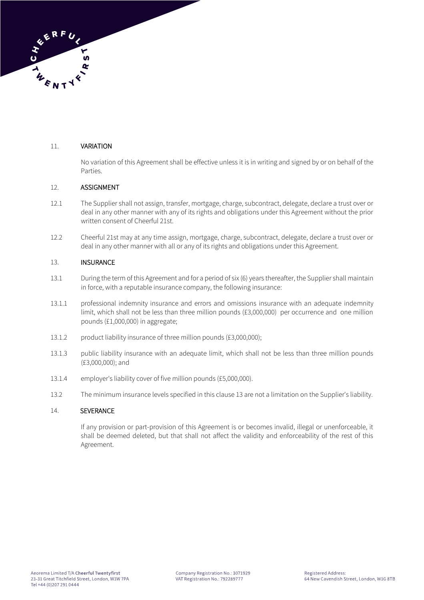# 11. VARIATION

No variation of this Agreement shall be effective unless it is in writing and signed by or on behalf of the Parties.

# 12. ASSIGNMENT

- 12.1 The Supplier shall not assign, transfer, mortgage, charge, subcontract, delegate, declare a trust over or deal in any other manner with any of its rights and obligations under this Agreement without the prior written consent of Cheerful 21st.
- 12.2 Cheerful 21st may at any time assign, mortgage, charge, subcontract, delegate, declare a trust over or deal in any other manner with all or any of its rights and obligations under this Agreement.

# 13. INSURANCE

- 13.1 During the term of this Agreement and for a period of six (6) years thereafter, the Supplier shall maintain in force, with a reputable insurance company, the following insurance:
- 13.1.1 professional indemnity insurance and errors and omissions insurance with an adequate indemnity limit, which shall not be less than three million pounds (£3,000,000) per occurrence and one million pounds (£1,000,000) in aggregate;
- 13.1.2 product liability insurance of three million pounds (£3,000,000);
- 13.1.3 public liability insurance with an adequate limit, which shall not be less than three million pounds (£3,000,000); and
- 13.1.4 employer's liability cover of five million pounds (£5,000,000).
- 13.2 The minimum insurance levels specified in this clause 13 are not a limitation on the Supplier's liability.

### 14. SEVERANCE

If any provision or part-provision of this Agreement is or becomes invalid, illegal or unenforceable, it shall be deemed deleted, but that shall not affect the validity and enforceability of the rest of this Agreement.